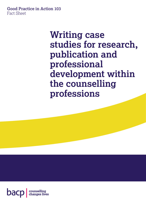#### **Good Practice in Action 103** Fact Sheet

**Writing case studies for research, publication and professional development within the counselling professions**

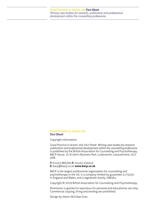#### **Good Practice in Action 103 Fact Sheet**

Copyright information:

Good Practice in Action 103: Fact Sheet: *Writing case studies for research, publication and professional development within the counselling professions*  is published by the British Association for Counselling and Psychotherapy, BACP House, 15 St John's Business Park, Lutterworth, Leicestershire, LE17 4HB.

**T:** 01455 883300 **F:** 01455 550243 **E:** [bacp@bacp.co.uk](mailto:bacp@bacp.co.uk) **[www.bacp.co.uk](http://www.bacp.co.uk)**

BACP is the largest professional organisation for counselling and psychotherapy in the UK, is a company limited by guarantee 2175320 in England and Wales, and a registered charity, 298361.

Copyright © 2019 British Association for Counselling and Psychotherapy.

Permission is granted to reproduce for personal and educational use only. Commercial copying, hiring and lending are prohibited.

Design by Steers McGillan Eves.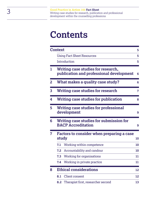# **Contents**

|   | <b>Context</b>                                                            |                                                                                | 5        |
|---|---------------------------------------------------------------------------|--------------------------------------------------------------------------------|----------|
|   |                                                                           | <b>Using Fact Sheet Resources</b>                                              | 5        |
|   |                                                                           | Introduction                                                                   | 5        |
|   |                                                                           | Writing case studies for research,<br>publication and professional development | 6        |
| 2 |                                                                           | What makes a quality case study?                                               | 6        |
| 3 |                                                                           | Writing case studies for research                                              | 7        |
| 4 |                                                                           | Writing case studies for publication                                           | 8        |
| 5 |                                                                           | Writing case studies for professional<br>development                           | 9        |
| 6 | Writing case studies for submission for<br><b>BACP Accreditation</b><br>9 |                                                                                |          |
| 7 | Factors to consider when preparing a case<br>study                        |                                                                                |          |
|   | 7.1                                                                       | Working within competence                                                      | 10<br>10 |
|   | 7.2                                                                       | Accountability and candour                                                     | 10       |
|   |                                                                           | 7.3 Working for organisations                                                  | 11       |
|   | 7.4                                                                       | Working in private practice                                                    | 11       |
| 8 | <b>Ethical considerations</b>                                             |                                                                                |          |
|   | 8.1                                                                       | <b>Client consent</b>                                                          | 12       |
|   | 8.2                                                                       | Therapist first, researcher second                                             | 13       |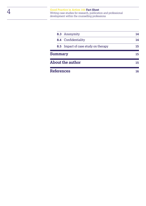|                         | 8.3 Anonymity                       | 14 |
|-------------------------|-------------------------------------|----|
|                         | 8.4 Confidentiality                 | 14 |
|                         | 8.5 Impact of case study on therapy | 15 |
| <b>Summary</b>          | 15                                  |    |
| <b>About the author</b> | 15                                  |    |
| <b>References</b>       | 16                                  |    |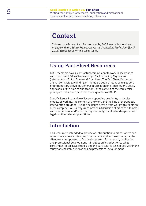### <span id="page-4-0"></span>**Context**

This resource is one of a suite prepared by BACP to enable members to engage with the *Ethical Framework for the Counselling Professions* (BACP, 2018) in respect of writing case studies.

#### <span id="page-4-1"></span>**Using Fact Sheet Resources**

BACP members have a contractual commitment to work in accordance with the current *Ethical Framework for the Counselling Professions* (referred to as *Ethical Framework* from here). The Fact Sheet Resources are not contractually binding on members but are intended to support practitioners by providing general information on principles and policy applicable at the time of publication, in the context of the core ethical principles, values and personal moral qualities of BACP.

Specific issues in practice will vary depending on clients, particular models of working, the context of the work, and the kind of therapeutic intervention provided. As specific issues arising from work with clients are often complex, BACP always recommends discussion of practice dilemmas with a supervisor and/or consulting a suitably qualified and experienced legal or other relevant practitioner.

#### <span id="page-4-2"></span>**Introduction**

This resource is intended to provide an introduction to practitioners and researchers who are intending to write case studies based on particular client work (as opposed to fictional vignettes) for research, publication and professional development. It includes an introduction to what constitutes 'good' case studies, and the particular focus needed within the study for research, publication and professional development.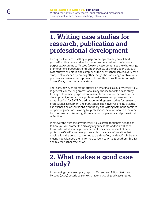### <span id="page-5-0"></span>**1. Writing case studies for research, publication and professional development**

Throughout your counselling or psychotherapy career, you will find yourself writing case studies for numerous personal and professional purposes. According to McLeod (2010), a 'case' comprises the whole range of interactions between clients and therapists or therapy agencies. Each case study is as unique and complex as the clients themselves. Every case study is also shaped by, among other things, the knowledge, motivations, practical experience, and approach of its author. Thus, there is no single 'correct' way of writing a case study.

There are, however, emerging criteria on what makes a quality case study. In general, counselling professionals may choose to write a case study for any of four main purposes: for research, publication, or professional development, or as part of a professional assessment process such as an application for BACP Accreditation. Writing case studies for research, professional assessment and publication often involves linking practical experience and observations with theory and writing within the confines of specific guidelines. Writing for professional development, on the other hand, often comprises a significant amount of personal and professional reflection.

Whatever the purpose of your case study, careful thought is needed as to how you will protect the privacy of your clients, and you will need to consider what your legal commitments may be in respect of data protection (GDPR) as unless you are able to remove information that would allow the person concerned to be identified, or identifiable by any means, you will need their informed consent to write about them. See 8.3 and 8.4 for further discussion.

### <span id="page-5-1"></span>**2. What makes a good case study?**

In reviewing some exemplary reports, McLeod and Elliott (2011) and McLeod (2009) described some characteristics of good case studies: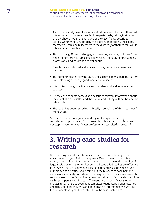- A good case study is a collaborative effort between client and therapist. It is important to capture the client's experience by letting their point of view show through the narrative of the case. Richly described stories, whether documented by the counsellor or told by the clients themselves, can lead researchers to the discovery of themes that would otherwise not have been observed.
- The case is significant and engages its readers, who may include clients, peers, healthcare policymakers, fellow researchers, students, trainees, professional bodies, or the general public.
- Case facts are collected and analysed in a systematic and rigorous manner.
- The author indicates how the study adds a new dimension to the current understanding of theory, good practice, or research.
- It is written in language that is easy to understand and follows a clear structure.
- It provides adequate context and describes relevant information about the client, the counsellor, and the nature and setting of their therapeutic relationship.
- The study has been carried out ethically (see Point 7 of this fact sheet for more details).

You can further ensure your case study is of a high standard by considering its purpose – is it for research, publication, or professional development, or for a particular professional accreditation process?

### <span id="page-6-0"></span>**3. Writing case studies for research**

When writing case studies for research, you are contributing to the advancement of your field in many ways. One of the most important ways you are doing this is through adding depth to the understanding of large-scale outcome studies. Randomised controlled studies are effective in showing clear links between certain factors, such as between a type of therapy and a particular outcome, but the nuances of each person's experience are rarely considered. The unique role of qualitative research, such as case studies, is that it enables counselling professionals to explore each participant's case in depth. The narrative nature of case studies enables researchers to document complex situations, personal histories, and richly detailed thoughts and opinions that inform their analysis and the actionable insights to be taken from the case (McLeod, 2010).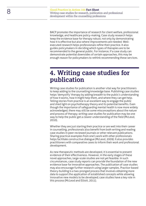BACP promotes the importance of research for client welfare, professional knowledge, and healthcare policy-making. Case study research helps keep the evidence base for therapy robust, not only by demonstrating how it is effective but also where improvements are needed. Wellexecuted research helps professionals refine their practice. It also guides policymakers in deciding which types of therapies are to be recommended to the general public. For instance, if a case study can demonstrate potential downsides of certain approaches, this may be enough reason for policymakers to rethink recommending these services.

### <span id="page-7-0"></span>**4. Writing case studies for publication**

Writing case studies for publication is another vital way for practitioners to keep adding to the counselling knowledge base. Publishing case studies helps 'demystify' therapy by adding breadth to the public's understanding of how it works, how it might help them, and where they can get help. Telling stories from practice is an excellent way to engage the public and shed light on psychotherapy theory and its potential benefits. Even though the importance of safeguarding mental health is now more widely acknowledged, there may still be some misconceptions about the nature and process of therapy; writing case studies for publication may be one way to help the public get a clearer understanding of the field (McLeod, 2010).

Whether they are just starting their practice or are well into their career in counselling, professionals also benefit from both writing and reading case studies in peer-reviewed journals or other relevant publications. Sharing practical examples from one's work with other professionals helps facilitate constructive dialogue (McLeod, 2009). It also provides practitioners with comparative cases to inform their work and professional development.

As new therapeutic methods are developed, it is essential to present evidence of their effectiveness. However, in the early stages of these novel approaches, large-scale studies are not yet feasible. In such circumstances, case study reports can provide the foundation of the new evidence base for innovative approaches. The publication of case studies may also encourage further research using larger samples. Practice-based theory-building is a two-pronged process that involves obtaining more data to support the application of established concepts while allowing innovative new models to be developed; case studies have a key role in this process (McLeod and Elliott, 2011).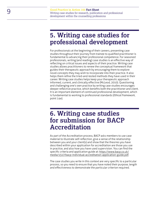### <span id="page-8-0"></span>**5. Writing case studies for professional development**

For professionals at the beginning of their careers, presenting case studies throughout their journey from trainee to qualified practitioner is fundamental to advancing their professional competence. For seasoned professionals, writing (and reading) case studies is an effective way of reflecting on critical issues and aspects of their practice. Writing case studies allows practitioners to renew the conceptual framework that guides their therapeutic approach by encouraging them to explore novel concepts they may wish to incorporate into their practice. It also helps them refine the tried-and-tested methods they have used in their career. Writing case studies helps keep your therapeutic approach informed, current, and clinically effective (McLeod, 2010). Questioning and challenging one's own practice by writing case studies encourages deeper reflective practice, which benefits both the practitioner and client. It is an important element of continued professional development, which is fundamental to working to professional standards (*Ethical Framework*, point 14e).

### <span id="page-8-1"></span>**6. Writing case studies for submission for BACP Accreditation**

As part of the Accreditation process, BACP asks members to use case material to illustrate self-reflection, give a sense of the relationship between you and your client(s) and show that the theories you have described within your application for accreditation are those you use in practice, and also how you have used supervision. You can find the specific criteria and application guide at: [https://www.bacp.co.uk/](https://www.bacp.co.uk/media/1517/bacp-individual-accreditation-application-guide.pdf) [media/1517/bacp-individual-accreditation-application-guide.pdf.](https://www.bacp.co.uk/media/1517/bacp-individual-accreditation-application-guide.pdf)

The case studies you write in this context are very specific to a particular process, so you need to ensure that you have noted their purpose, length and effectiveness to demonstrate the particular criterion required.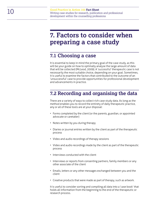### <span id="page-9-0"></span>**7. Factors to consider when preparing a case study**

#### <span id="page-9-1"></span>**7.1 Choosing a case**

It is essential to keep in mind the primary goal of the case study, as this will be your guide on how to optimally analyse the large amount of data that will be collected (McLeod, 2009). A 'successful' therapeutic case is not necessarily the most suitable choice, depending on your goal. Sometimes, it is useful to examine the factors that contributed to the outcome of an 'unsuccessful' case to provide opportunities for professional development and advancements in practice.

### <span id="page-9-2"></span>**7.2 Recording and organising the data**

There are a variety of ways to collect rich case study data. As long as the method enables you to record the entirety of daily therapeutic practice, any or all of these tools are at your disposal:

- Forms completed by the client (or the parents, guardian, or appointed advocate or caretaker)
- Notes written by you during therapy
- Diaries or journal entries written by the client as part of the therapeutic process
- Video and audio recordings of therapy sessions
- Video and audio recordings made by the client as part of the therapeutic process
- Interviews conducted with the client
- Interviews or reports from consenting partners, family members or any other associate of the client
- Emails, letters or any other messages exchanged between you and the client
- Creative products that were made as part of therapy, such as artwork.

It is useful to consider sorting and compiling all data into a 'case book' that holds all information from the beginning to the end of the therapeutic or research process.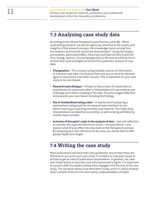#### <span id="page-10-0"></span>**7.3 Analysing case study data**

According to the *Ethical Framework* Good Practice, point 86, "When undertaking research, we will be rigorously attentive to the quality and integrity of the research process, the knowledge claims arising from the research and how the results are disseminated." Using two studies as examples, particularly Råbu, Halvorsen and Haavind (2011) and Hill, Chui, Huang, Jackson, Liu and Spangle (2011), McLeod and Elliott (2011) recommend some strategies to ensure the systematic analysis of case data:

- **Triangulation** This involves using multiple sources of information to interpret case data. Conclusions from one source must be checked against conclusions from other sources. This is important for your case study to be non-biased.
- **Research team dialogue** It helps to have a team of researchers or practitioners to share each other's interpretation of case material and challenge each other's reading of the data. This encourages reflection and prevents your own biases dictating the findings.
- **Use of standardised rating scales** It may be worth preparing a standardised rating scale for all research team members to use before listening or watching recorded case material. This helps keep interpretations as objective as possible, as well as being verifiable by another team member.
- **Inclusion of therapist's style in the analysis of data** Use self-reflection to consider the style and behaviour of you – the practitioner – and explore what (if any) effect this may have on the therapeutic process. By analysing your own influence on the case, you will be able to offer greater depth and insight.

#### <span id="page-10-1"></span>**7.4 Writing the case study**

Most publications will have their own guidelines; ensure that these are followed as you write your case study. It is helpful to read past issues or articles to get an idea of publication requirements. In general, use clear and simple words to describe case information and insights. It is important to connect with the reader to keep them engaged until the end of the case study. The narrative needs to be described vividly, and it is useful to break down complex theories into more easily understandable concepts.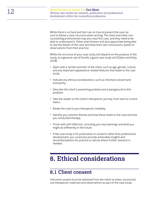While there is no hard and fast rule on how to present the case, be sure to follow a clear structure when writing. The client and other noncounselling professionals may also read this case, and they need to be able to understand it. Other practitioners will also appreciate being able to see the details of the case and draw their own conclusions, based on observations from their practice.

While the structure of your case study will depend on the purpose of the study, as a general rule of thumb, a good case study will (Oakes and Kelly, 2018):

- Open with a 'written portrait' of the client, such as age, gender, culture, and any important appearance-related features that relate to the case study.
- Indicate any ethical considerations, such as informed consent and anonymity.
- Describe the client's presenting problem and a background to this problem.
- Take the reader on the client's therapeutic journey, from start to current status.
- Relate the case to your therapeutic modality.
- Identify any common themes and how these relate to the case and how you conducted therapy.
- Finish with self-reflection, including your key learnings and what you might do differently in the future.
- If the case study is for publication or research rather than professional development, you could also provide actionable insights and recommendations for practice or advise where further research is needed.

### <span id="page-11-0"></span>**8. Ethical considerations**

### <span id="page-11-1"></span>**8.1 Client consent**

Informed consent must be obtained from the client to retain, record and use therapeutic materials and observations as part of the case study.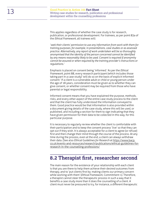This applies regardless of whether the case study is for research, publication, or professional development. For trainees, as per point 83a of the *Ethical Framework*, all trainees will:

*'seek their clients' permission to use any information from work with them for training purposes, for example, in presentations, case studies or as assessed practice. Alternatively, any report of work undertaken will be so thoroughly anonymised that the identity of the person concerned cannot be identified by any means reasonably likely to be used. Consent is required if anonymity cannot be assured or when required by the training provider's instructions or regulations.'*

Emphasis is placed on consent being 'informed.' As per the *Ethical Framework*, point 88, every research participant (which includes those taking part in a case study) 'will do so on the basis of explicit informed consent.' If a client is a vulnerable adult or child or young person under the age of 18 years, consideration must be given as to whether they can give consent, or whether consent may be required from those who have parental or legal responsibility.

Informed consent means that you have explained the purpose, methods, risks, and every other aspect of the entire case study process to the client and that the client has fully understood the information conveyed to them. Good practice would be that information is also provided within a document giving details of the case study, where this will be used, or published, and including a section for them to sign indicating that they have given permission for their data to be collected in this way, for this particular purpose.

It is necessary to regularly review whether the client is comfortable with their participation and to keep the consent process 'live' so that they can opt out if they wish. It is always acceptable for a client to agree (or refuse) first and then change their mind through the course of the process. At any time during the process, even at the end, a client can always withdraw their data. (See also *Ethical Guidelines for Research* at [https://www.bacp.](https://www.bacp.co.uk/events-and-resources/research/publications/ethical-guidelines-for-research-in-the-counselling-professions/) [co.uk/events-and-resources/research/publications/ethical-guidelines-for](https://www.bacp.co.uk/events-and-resources/research/publications/ethical-guidelines-for-research-in-the-counselling-professions/)[research-in-the-counselling-professions/](https://www.bacp.co.uk/events-and-resources/research/publications/ethical-guidelines-for-research-in-the-counselling-professions/)

#### <span id="page-12-0"></span>**8.2 Therapist first, researcher second**

The main reason for the existence of your relationship with each client is that you are there to help them achieve their desired outcomes from therapy, and to 'put clients first by: making clients our primary concern while working with them' (*Ethical Framework*, Commitment 1). Therefore, a therapist cannot steer the therapeutic process in such a way that it benefits a case study more than it does the counselling of a client. A client must never be pressured to try, for instance, a different therapeutic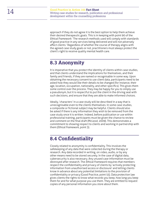approach if they do not agree it is the best option to help them achieve their desired therapeutic goals. This is in keeping with point 90 of the *Ethical Framework*: 'The research methods used will comply with standards of good practice in any services being delivered and will not adversely affect clients.' Regardless of whether the course of therapy aligns with the agreed case study goals or not, practitioners must always protect the client's right to receive quality mental health care.

### <span id="page-13-0"></span>**8.3 Anonymity**

It is imperative that you protect the identity of clients within case studies, and that clients understand the implications for themselves, and their family and friends, if they are named or recognisable in some way. Upon obtaining the necessary consent to use client data, participants need to be asked how they would like their details to be changed (for instance, their age, location, occupation, nationality, and other specifics). This gives them some control over the process. They may be happy for you to simply use a pseudonym, but it is respectful to put the client in the driving seat with such decisions, and ensure that they are able to make informed choices.

Ideally, 'characters' in a case study will be described in a way that is unrecognisable even to the clients themselves. In some case studies, a composite or fictional subject may be helpful. Clients should also be asked if there is any information they wish to be removed from the case study once it is written. Indeed, before publication or use within professional training, participants must be given the chance to review and comment on the final draft (McLeod, 2009). This demonstrates a commitment to showing respect to clients and working in partnership with them (*Ethical Framework*, point 3).

### <span id="page-13-1"></span>**8.4 Confidentiality**

Closely related to anonymity is confidentiality. This involves the safekeeping of any data that were collected during the therapy or research. Any data recorded in writing, on video, audio, or by any other means need to be stored securely. In the case of digital data, cybersecurity is also necessary. Any unused case information must be destroyed after research. The *Ethical Framework* requires that members respect the confidentiality and privacy of clients by 'actively protecting information from unauthorised access or disclosure' and letting clients know in advance about any potential limitations to the provision of confidentiality or privacy (Good Practice, point 55). Data protection law gives clients the rights to know what records you keep, how long you keep them for and for what purpose you use them. They are entitled to request copies of any personal information you store about them.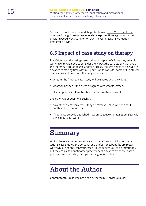You can find out more about data protection at: [https://ico.org.uk/for](https://ico.org.uk/for-organisations/guide-to-the-general-data-protection-regulation-gdpr/)[organisations/guide-to-the-general-data-protection-regulation-gdpr/](https://ico.org.uk/for-organisations/guide-to-the-general-data-protection-regulation-gdpr/) or within Good Practice in Action 105 The General Data Protection Regulation (GDPR).

#### <span id="page-14-0"></span>**8.5 Impact of case study on therapy**

Practitioners undertaking case studies in respect of clients they are still working with will need to consider the impact the case study may have on the therapeutic relationship and/or process. Thought needs to be given in advance to making time within supervision to consider some of the ethical dimensions and questions that may arise such as:

- whether the finished case-study will be shared with the client,
- what will happen if the client disagrees with what is written,
- at what point will client be able to withdraw their consent

and other wider questions such as:

- how other clients may feel if they discover you have written about another client, but not them.
- if your case study is published, how prospective clients/supervisees will think about your work.

### <span id="page-14-1"></span>**Summary**

Whilst there are numerous ethical considerations to think about when writing case studies, the personal and professional benefits are really worthwhile. Not only can your case studies benefit you as a practitioner, but they can also benefit other practitioners, advance evidence-based practice, and demystify therapy for the general public.

## <span id="page-14-2"></span>**About the Author**

Content for this resource has been authored by Dr Nicola Davies.